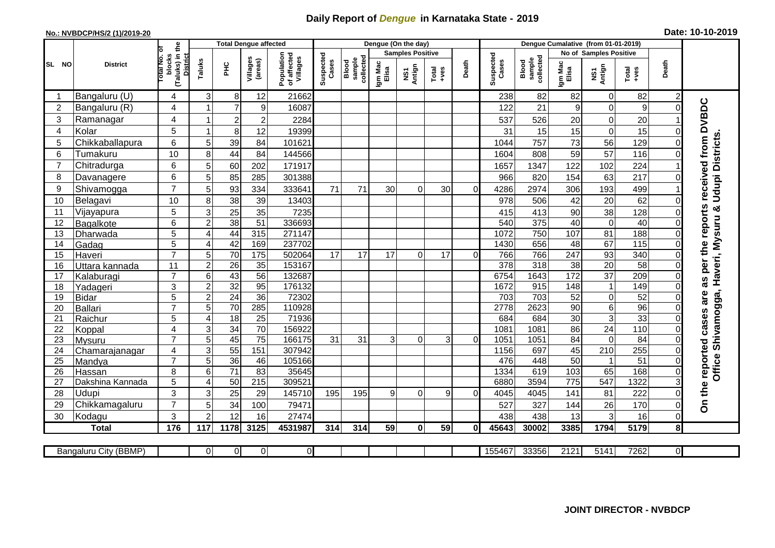## **Daily Report of** *Dengue* **in Karnataka State - 2019**

## **No.: NVBDCP/HS/2 (1)/2019-20 Date: 10-10-2019**

|                |                       |                                                              |                |                 | <b>Total Dengue affected</b> |                                       |                    |                              |                  | Dengue (On the day)     |                  |              |                    |                              |                  |                               |                 |                |                                        |
|----------------|-----------------------|--------------------------------------------------------------|----------------|-----------------|------------------------------|---------------------------------------|--------------------|------------------------------|------------------|-------------------------|------------------|--------------|--------------------|------------------------------|------------------|-------------------------------|-----------------|----------------|----------------------------------------|
|                |                       |                                                              |                |                 |                              |                                       |                    |                              |                  | <b>Samples Positive</b> |                  |              |                    |                              |                  | <b>No of Samples Positive</b> |                 |                |                                        |
| SL NO          | <b>District</b>       | (Taluks) in the<br>Total No. of<br>blocks<br><b>District</b> | Taluks         | ЭHС             | Villages<br>(areas)          | Population<br>of affected<br>Villages | Suspected<br>Cases | sample<br>collected<br>Blood | Igm Mac<br>Elisa | Antign<br>Σń            | Total<br>$+ve$ s | Death        | Suspected<br>Cases | collected<br>sample<br>Blood | Igm Mac<br>Elisa | NS1<br>Antign                 | Total<br>+ves   | Death          |                                        |
| -1             | Bangaluru (U)         | 4                                                            | 3              | 8               | 12                           | 21662                                 |                    |                              |                  |                         |                  |              | 238                | 82                           | 82               | $\mathbf 0$                   | 82              | $\overline{c}$ |                                        |
| $\overline{c}$ | Bangaluru (R)         | 4                                                            |                | $\overline{7}$  | $\boldsymbol{9}$             | 16087                                 |                    |                              |                  |                         |                  |              | 122                | 21                           | 9                | $\mathsf{O}\xspace$           | 9               |                | as per the reports received from DVBDC |
| 3              | Ramanagar             | 4                                                            |                | $\overline{c}$  | $\overline{c}$               | 2284                                  |                    |                              |                  |                         |                  |              | 537                | 526                          | 20               | $\overline{0}$                | 20              |                |                                        |
| 4              | Kolar                 | 5                                                            |                | 8               | 12                           | 19399                                 |                    |                              |                  |                         |                  |              | 31                 | 15                           | 15               | $\mathbf 0$                   | 15              |                |                                        |
| 5              | Chikkaballapura       | 6                                                            | 5              | 39              | 84                           | 101621                                |                    |                              |                  |                         |                  |              | 1044               | 757                          | 73               | 56                            | 129             |                |                                        |
| 6              | Tumakuru              | 10                                                           | 8              | 44              | 84                           | 144566                                |                    |                              |                  |                         |                  |              | 1604               | 808                          | 59               | 57                            | 116             |                |                                        |
| $\overline{7}$ | Chitradurga           | 6                                                            | 5              | 60              | 202                          | 171917                                |                    |                              |                  |                         |                  |              | 1657               | 1347                         | 122              | 102                           | 224             |                |                                        |
| 8              | Davanagere            | 6                                                            | 5              | 85              | 285                          | 301388                                |                    |                              |                  |                         |                  |              | 966                | 820                          | 154              | 63                            | 217             |                |                                        |
| 9              | Shivamogga            | $\overline{7}$                                               | 5              | 93              | 334                          | 333641                                | 71                 | 71                           | 30               | 0                       | 30               | $\Omega$     | 4286               | 2974                         | 306              | 193                           | 499             |                | <b>Udupi Districts</b>                 |
| 10             | Belagavi              | 10                                                           | 8              | 38              | 39                           | 13403                                 |                    |                              |                  |                         |                  |              | 978                | 506                          | 42               | 20                            | 62              |                |                                        |
| 11             | Vijayapura            | 5                                                            | 3              | 25              | 35                           | 7235                                  |                    |                              |                  |                         |                  |              | 415                | 413                          | 90               | 38                            | 128             |                | Haveri, Mysuru &                       |
| 12             | Bagalkote             | 6                                                            | $\overline{2}$ | 38              | 51                           | 336693                                |                    |                              |                  |                         |                  |              | 540                | $\overline{375}$             | 40               | $\overline{0}$                | 40              |                |                                        |
| 13             | Dharwada              | 5                                                            | $\overline{4}$ | 44              | 315                          | 271147                                |                    |                              |                  |                         |                  |              | 1072               | 750                          | 107              | 81                            | 188             |                |                                        |
| 14             | Gadag                 | $\overline{5}$                                               | $\overline{4}$ | $\overline{42}$ | 169                          | 237702                                |                    |                              |                  |                         |                  |              | 1430               | 656                          | $\overline{48}$  | 67                            | 115             |                |                                        |
| 15             | Haveri                | $\overline{7}$                                               | 5              | 70              | 175                          | 502064                                | 17                 | 17                           | 17               | $\Omega$                | 17               | $\Omega$     | 766                | 766                          | 247              | 93                            | 340             | 0              |                                        |
| 16             | Uttara kannada        | 11                                                           | $\overline{2}$ | $\overline{26}$ | 35                           | 153167                                |                    |                              |                  |                         |                  |              | $\overline{378}$   | 318                          | $\overline{38}$  | 20                            | $\overline{58}$ |                |                                        |
| 17             | Kalaburagi            | $\overline{7}$                                               | 6              | 43              | $\overline{56}$              | 132687                                |                    |                              |                  |                         |                  |              | 6754               | 1643                         | 172              | $\overline{37}$               | 209             |                |                                        |
| 18             | Yadageri              | 3                                                            | $\overline{c}$ | 32              | 95                           | 176132                                |                    |                              |                  |                         |                  |              | 1672               | 915                          | 148              | $\mathbf{1}$                  | 149             |                |                                        |
| 19             | <b>Bidar</b>          | 5                                                            | $\overline{c}$ | 24              | $\overline{36}$              | 72302                                 |                    |                              |                  |                         |                  |              | 703                | 703                          | 52               | $\overline{0}$                | 52              |                | are                                    |
| 20             | Ballari               | $\overline{7}$                                               | 5              | 70              | 285                          | 110928                                |                    |                              |                  |                         |                  |              | 2778               | 2623                         | 90               | $\sigma$                      | 96              |                |                                        |
| 21             | Raichur               | 5                                                            | $\overline{4}$ | 18              | $\overline{25}$              | 71936                                 |                    |                              |                  |                         |                  |              | 684                | 684                          | 30               | ω                             | 33              |                | Shivamogga,                            |
| 22             | Koppal                | 4                                                            | 3              | $\overline{34}$ | $\overline{70}$              | 156922                                |                    |                              |                  |                         |                  |              | 1081               | 1081                         | 86               | 24                            | 110             | $\Omega$       |                                        |
| 23             | Mysuru                | $\overline{7}$                                               | 5              | 45              | 75                           | 166175                                | 31                 | 31                           | 3                | $\Omega$                | 3                | $\mathbf 0$  | 1051               | 1051                         | $\overline{84}$  | $\overline{0}$                | $\overline{84}$ | 0              |                                        |
| 24             | Chamarajanagar        | 4                                                            | 3              | $\overline{55}$ | 151                          | 307942                                |                    |                              |                  |                         |                  |              | 1156               | 697                          | 45               | 210                           | 255             | 0              |                                        |
| 25             | Mandya                | $\overline{7}$                                               | $\overline{5}$ | 36              | 46                           | 105166                                |                    |                              |                  |                         |                  |              | 476                | 448                          | 50               | $\mathbf{1}$                  | 51              | $\Omega$       |                                        |
| 26             | Hassan                | 8                                                            | 6              | 71              | 83                           | 35645                                 |                    |                              |                  |                         |                  |              | 1334               | 619                          | 103              | 65                            | 168             | 0              | <b>Office</b>                          |
| 27             | Dakshina Kannada      | 5                                                            | $\overline{4}$ | 50              | $\overline{215}$             | 309521                                |                    |                              |                  |                         |                  |              | 6880               | 3594                         | 775              | 547                           | 1322            |                |                                        |
| 28             | Udupi                 | 3                                                            | 3              | 25              | 29                           | 145710                                | 195                | 195                          | 9                | $\Omega$                | 9                | $\Omega$     | 4045               | 4045                         | 141              | 81                            | 222             |                | On the reported cases                  |
| 29             | Chikkamagaluru        | $\overline{7}$                                               | 5              | 34              | 100                          | 79471                                 |                    |                              |                  |                         |                  |              | 527                | 327                          | 144              | 26                            | 170             | 0              |                                        |
| 30             | Kodagu                | 3                                                            | $\overline{2}$ | 12              | 16                           | 27474                                 |                    |                              |                  |                         |                  |              | 438                | 438                          | 13               | 3                             | 16              | $\Omega$       |                                        |
|                | <b>Total</b>          | 176                                                          | 117            | 1178            | 3125                         | 4531987                               | 314                | 314                          | 59               | $\mathbf{0}$            | 59               | $\mathbf{0}$ | 45643              | 30002                        | 3385             | 1794                          | 5179            | 8              |                                        |
|                |                       |                                                              | $\Omega$       | $\overline{0}$  | 0                            | $\overline{0}$                        |                    |                              |                  |                         |                  |              | 155467             | 33356                        | 2121             | 5141                          | 7262            | ΟI             |                                        |
|                | Bangaluru City (BBMP) |                                                              |                |                 |                              |                                       |                    |                              |                  |                         |                  |              |                    |                              |                  |                               |                 |                |                                        |